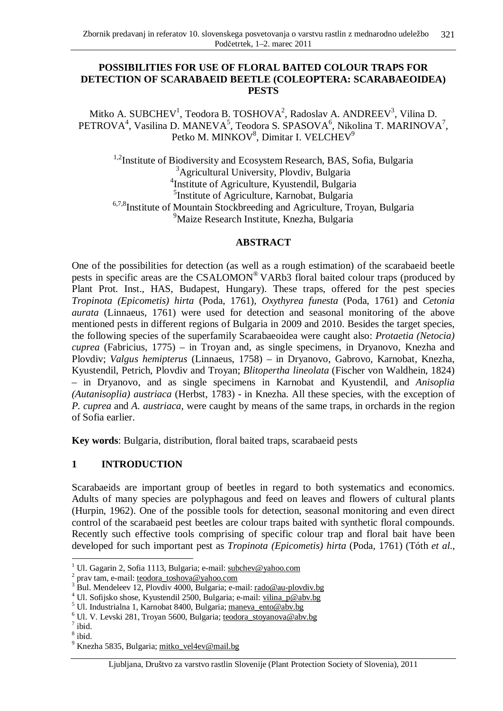# **POSSIBILITIES FOR USE OF FLORAL BAITED COLOUR TRAPS FOR DETECTION OF SCARABAEID BEETLE (COLEOPTERA: SCARABAEOIDEA) PESTS**

Mitko A. SUBCHEV<sup>1</sup>, Teodora B. TOSHOVA<sup>2</sup>, Radoslav A. ANDREEV<sup>3</sup>, Vilina D. PETROVA<sup>4</sup>, Vasilina D. MANEVA<sup>5</sup>, Teodora S. SPASOVA<sup>6</sup>, Nikolina T. MARINOVA<sup>7</sup>, Petko M. MINKOV $^8$ , Dimitar I. VELCHEV $^9$ 

<sup>1,2</sup>Institute of Biodiversity and Ecosystem Research, BAS, Sofia, Bulgaria <sup>3</sup>Agricultural University, Plovdiv, Bulgaria 4 Institute of Agriculture, Kyustendil, Bulgaria 5 Institute of Agriculture, Karnobat, Bulgaria <sup>6,7,8</sup>Institute of Mountain Stockbreeding and Agriculture, Troyan, Bulgaria <sup>9</sup>Maize Research Institute, Knezha, Bulgaria

### **ABSTRACT**

One of the possibilities for detection (as well as a rough estimation) of the scarabaeid beetle pests in specific areas are the CSALOMON<sup>®</sup> VARb3 floral baited colour traps (produced by Plant Prot. Inst., HAS, Budapest, Hungary). These traps, offered for the pest species *Tropinota (Epicometis) hirta* (Poda, 1761), *Oxythyrea funesta* (Poda, 1761) and *Cetonia aurata* (Linnaeus, 1761) were used for detection and seasonal monitoring of the above mentioned pests in different regions of Bulgaria in 2009 and 2010. Besides the target species, the following species of the superfamily Scarabaeoidea were caught also: *Protaetia (Netocia) cuprea* (Fabricius, 1775) – in Troyan and, as single specimens, in Dryanovo, Knezha and Plovdiv; *Valgus hemipterus* (Linnaeus, 1758) – in Dryanovo, Gabrovo, Karnobat, Knezha, Kyustendil, Petrich, Plovdiv and Troyan; *Blitopertha lineolata* (Fischer von Waldhein, 1824) – in Dryanovo, and as single specimens in Karnobat and Kyustendil, and *Anisoplia (Autanisoplia) austriaca* (Herbst, 1783) - in Knezha. All these species, with the exception of *P. cuprea* and *A. austriaca,* were caught by means of the same traps, in orchards in the region of Sofia earlier.

**Key words**: Bulgaria, distribution, floral baited traps, scarabaeid pests

# **1 INTRODUCTION**

Scarabaeids are important group of beetles in regard to both systematics and economics. Adults of many species are polyphagous and feed on leaves and flowers of cultural plants (Hurpin, 1962). One of the possible tools for detection, seasonal monitoring and even direct control of the scarabaeid pest beetles are colour traps baited with synthetic floral compounds. Recently such effective tools comprising of specific colour trap and floral bait have been developed for such important pest as *Tropinota (Epicometis) hirta* (Poda, 1761) (Tóth *et al*.,

 $\overline{a}$ 

<sup>1</sup> Ul. Gagarin 2, Sofia 1113, Bulgaria; e-mail: [subchev@yahoo.com](mailto:subchev@yahoo.com)

<sup>&</sup>lt;sup>2</sup> prav tam, e-mail: [teodora\\_toshova@yahoo.com](mailto:teodora_toshova@yahoo.com)

 $3^{3}$  Bul. Mendeleev 12, Plovdiv 4000, Bulgaria; e-mail: [rado@au-plovdiv.bg](mailto:rado@au-plovdiv.bg)

<sup>&</sup>lt;sup>4</sup> Ul. Sofijsko shose, Kyustendil 2500, Bulgaria; e-mail: [vilina\\_p@abv.bg](mailto:vilina_p@abv.bg)

<sup>&</sup>lt;sup>5</sup> Ul. Industrialna 1, Karnobat 8400, Bulgaria; [maneva\\_ento@abv.bg](mailto:maneva_ento@abv.bg)

<sup>&</sup>lt;sup>6</sup> Ul. V. Levski 281, Troyan 5600, Bulgaria; [teodora\\_stoyanova@abv.bg](mailto:teodora_stoyanova@abv.bg)

 $^7$  ibid.

<sup>8</sup> ibid.

<sup>&</sup>lt;sup>9</sup> Knezha 5835, Bulgaria; [mitko\\_vel4ev@mail.bg](mailto:mitko_vel4ev@mail.bg)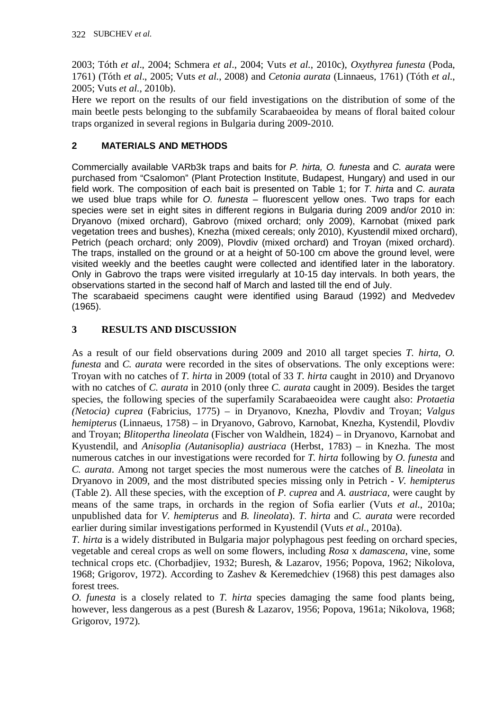2003; Tóth *et al*., 2004; Schmera *et al*., 2004; Vuts *et al*., 2010c), *Oxythyrea funesta* (Poda, 1761) (Tóth *et al*., 2005; Vuts *et al*., 2008) and *Cetonia aurata* (Linnaeus, 1761) (Tóth *et al*., 2005; Vuts *et al*., 2010b).

Here we report on the results of our field investigations on the distribution of some of the main beetle pests belonging to the subfamily Scarabaeoidea by means of floral baited colour traps organized in several regions in Bulgaria during 2009-2010.

# **2 MATERIALS AND METHODS**

Commercially available VARb3k traps and baits for *P. hirta, O. funesta* and *C. aurata* were purchased from "Csalomon" (Plant Protection Institute, Budapest, Hungary) and used in our field work. The composition of each bait is presented on Table 1; for *T. hirta* and *C. aurata* we used blue traps while for *O. funesta* – fluorescent yellow ones. Two traps for each species were set in eight sites in different regions in Bulgaria during 2009 and/or 2010 in: Dryanovo (mixed orchard), Gabrovo (mixed orchard; only 2009), Karnobat (mixed park vegetation trees and bushes), Knezha (mixed cereals; only 2010), Kyustendil mixed orchard), Petrich (peach orchard; only 2009), Plovdiv (mixed orchard) and Troyan (mixed orchard). The traps, installed on the ground or at a height of 50-100 cm above the ground level, were visited weekly and the beetles caught were collected and identified later in the laboratory. Only in Gabrovo the traps were visited irregularly at 10-15 day intervals. In both years, the observations started in the second half of March and lasted till the end of July.

The scarabaeid specimens caught were identified using Baraud (1992) and Medvedev (1965).

# **3 RESULTS AND DISCUSSION**

As a result of our field observations during 2009 and 2010 all target species *T. hirta*, *O. funesta* and *C. aurata* were recorded in the sites of observations. The only exceptions were: Troyan with no catches of *T. hirta* in 2009 (total of 33 *T. hirta* caught in 2010) and Dryanovo with no catches of *C. aurata* in 2010 (only three *C. aurata* caught in 2009). Besides the target species, the following species of the superfamily Scarabaeoidea were caught also: *Protaetia (Netocia) cuprea* (Fabricius, 1775) – in Dryanovo, Knezha, Plovdiv and Troyan; *Valgus hemipterus* (Linnaeus, 1758) – in Dryanovo, Gabrovo, Karnobat, Knezha, Kystendil, Plovdiv and Troyan; *Blitopertha lineolata* (Fischer von Waldhein, 1824) – in Dryanovo, Karnobat and Kyustendil, and *Anisoplia (Autanisoplia) austriaca* (Herbst, 1783) – in Knezha. The most numerous catches in our investigations were recorded for *T. hirta* following by *O. funesta* and *C. aurata*. Among not target species the most numerous were the catches of *B. lineolata* in Dryanovo in 2009, and the most distributed species missing only in Petrich - *V. hemipterus* (Table 2). All these species, with the exception of *P. cuprea* and *A. austriaca,* were caught by means of the same traps, in orchards in the region of Sofia earlier (Vuts *et al*., 2010a; unpublished data for *V. hemipterus* and *B. lineolata*). *T. hirta* and *C. aurata* were recorded earlier during similar investigations performed in Kyustendil (Vuts *et al*., 2010a).

*T. hirta* is a widely distributed in Bulgaria major polyphagous pest feeding on orchard species, vegetable and cereal crops as well on some flowers, including *Rosa* x *damascena*, vine, some technical crops etc. (Chorbadjiev, 1932; Buresh, & Lazarov, 1956; Popova, 1962; Nikolova, 1968; Grigorov, 1972). According to Zashev & Keremedchiev (1968) this pest damages also forest trees.

*O. funesta* is a closely related to *T. hirta* species damaging the same food plants being, however, less dangerous as a pest (Buresh & Lazarov, 1956; Popova, 1961a; Nikolova, 1968; Grigorov, 1972).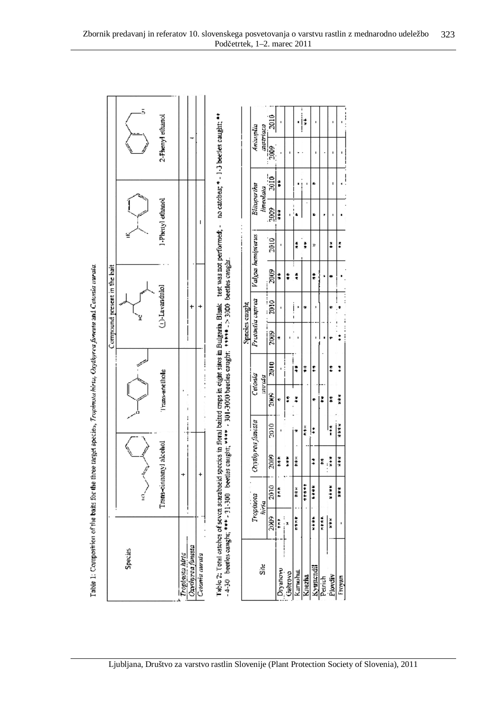| ֖֖֖֖֖֖֖֪ׅ֪ׅ֪ׅׅ֪ׅ֪֪֪ׅ֚֚֚֚֚֚֚֚֚֚֚֚֚֚֚֚֚֚֚֬֝֝֬֝֬֓֞֓֬ |
|---------------------------------------------------|
|                                                   |
|                                                   |
| $\frac{1}{2}$                                     |
|                                                   |
|                                                   |
|                                                   |
|                                                   |
|                                                   |
|                                                   |
|                                                   |
| I                                                 |
|                                                   |
|                                                   |
|                                                   |
|                                                   |
|                                                   |
|                                                   |
|                                                   |
|                                                   |
|                                                   |
|                                                   |
| I                                                 |
|                                                   |
|                                                   |
|                                                   |
|                                                   |
|                                                   |
|                                                   |
|                                                   |
|                                                   |
|                                                   |
|                                                   |
|                                                   |
|                                                   |
|                                                   |
|                                                   |
|                                                   |
|                                                   |
|                                                   |
| i                                                 |
|                                                   |
|                                                   |
|                                                   |
| l                                                 |

| Compound present in the bait |         | 2-Phenyl elhanol<br>1-Piettyl ethanol<br>(j)-Lavandulol<br>Trans-enelhole | $\vdots$                            |                | Table 2: Total eatches of seven scatabasid species in floral batted craps in eight sinos in Bulgaria. Blank thest was not performed; - no catches; * - 1-1 beetles caught; * *<br>$-4-50$ leepies caught; *** + 31-300 leepies caught; **** + 301-3000 beedes caught; **** + 2000 beedes caught. |
|------------------------------|---------|---------------------------------------------------------------------------|-------------------------------------|----------------|--------------------------------------------------------------------------------------------------------------------------------------------------------------------------------------------------------------------------------------------------------------------------------------------------|
|                              |         | Trans-cinnamyl alcohol                                                    |                                     |                |                                                                                                                                                                                                                                                                                                  |
|                              | Species |                                                                           | Oxamit valitanese<br>popinosa hirta | Celomia aurala |                                                                                                                                                                                                                                                                                                  |

|                  |                       | Тюріюка | Chranrea functa |                | Cetonia     |             | <b>Sinceles</b> caught | Protoetia caprea | Valgas hemipterus           |      | Bliuperina |          | Aniscopico  |                            |
|------------------|-----------------------|---------|-----------------|----------------|-------------|-------------|------------------------|------------------|-----------------------------|------|------------|----------|-------------|----------------------------|
| 칅                |                       | hiria   |                 |                | ap.o.n      |             |                        |                  |                             |      | lineolata  |          | austriaca   |                            |
|                  | 20XIG<br> <br> <br>   | 2010    | 20IP)           | 2010           | <b>SINK</b> | <b>SIGZ</b> | <b>SING</b>            | 2010             | 3003                        | 2010 | SOGC       | 2010     | lag<br>Daoi | 2010                       |
| Divanovu         | :<br>;<br>;<br>;<br>î | ***     | ***             |                |             |             |                        |                  | $\frac{3}{2}$               |      | 计算术        |          |             |                            |
|                  |                       |         | ì               |                |             |             |                        |                  |                             |      |            |          |             |                            |
| <b>САГТИНАНЫ</b> | 無数                    | ×       | ***             |                |             | i<br>*      |                        | $\frac{1}{1}$    | $\vdots$<br>$\frac{\pi}{3}$ |      | $\vdots$   |          |             |                            |
| <b>Chezina</b>   |                       | $+ + +$ |                 | ž              |             | ≸           |                        |                  |                             | ļ    |            | $\vdots$ |             | :<br> <br> <br> <br>$\ast$ |
| <b>yscadi</b>    | $+1$                  | 美女子     |                 | $\ddot{\cdot}$ |             | ፣           |                        |                  | $\frac{4}{5}$               | X    |            |          |             |                            |
| Nurich           | 大半光                   |         | ×<br>$\vdots$   |                | I           |             |                        |                  |                             |      |            |          |             |                            |
| Ploydr           | ×¥×                   | ****    | 计步法             | ŧ              |             |             |                        |                  |                             | ï    |            |          |             |                            |
| ushiu.           |                       | ###     | 计算法             | ****           | ***         |             |                        | :<br>$\vdots$    |                             | Ŗ    |            |          |             |                            |

ا.<br>أ

١ļ

 $\overline{\phantom{a}}$ 

 $\ddot{\phantom{a}}$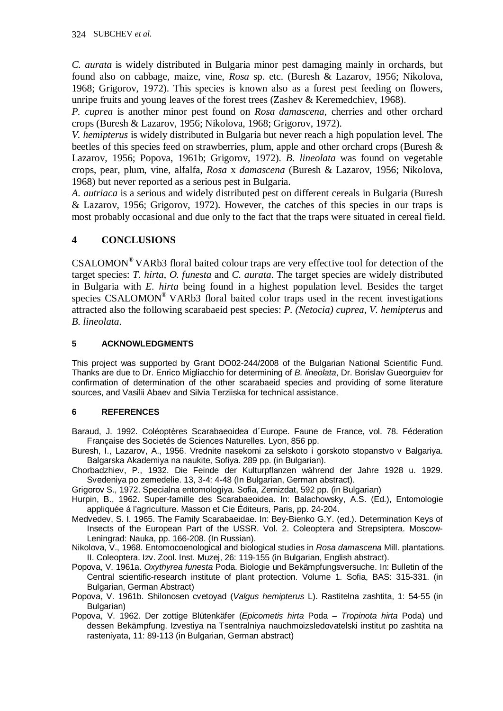*C. aurata* is widely distributed in Bulgaria minor pest damaging mainly in orchards, but found also on cabbage, maize, vine, *Rosa* sp. etc. (Buresh & Lazarov, 1956; Nikolova, 1968; Grigorov, 1972). This species is known also as a forest pest feeding on flowers, unripe fruits and young leaves of the forest trees (Zashev  $\&$  Keremedchiev, 1968).

*P. cuprea* is another minor pest found on *Rosa damascena*, cherries and other orchard crops (Buresh & Lazarov, 1956; Nikolova, 1968; Grigorov, 1972).

*V. hemipterus* is widely distributed in Bulgaria but never reach a high population level. The beetles of this species feed on strawberries, plum, apple and other orchard crops (Buresh & Lazarov, 1956; Popova, 1961b; Grigorov, 1972). *B. lineolata* was found on vegetable crops, pear, plum, vine, alfalfa, *Rosa* x *damascena* (Buresh & Lazarov, 1956; Nikolova, 1968) but never reported as a serious pest in Bulgaria.

*A. autriaca* is a serious and widely distributed pest on different cereals in Bulgaria (Buresh & Lazarov, 1956; Grigorov, 1972). However, the catches of this species in our traps is most probably occasional and due only to the fact that the traps were situated in cereal field.

# **4 CONCLUSIONS**

CSALOMON® VARb3 floral baited colour traps are very effective tool for detection of the target species: *T. hirta*, *O. funesta* and *C. aurata*. The target species are widely distributed in Bulgaria with *E. hirta* being found in a highest population level. Besides the target species CSALOMON® VARb3 floral baited color traps used in the recent investigations attracted also the following scarabaeid pest species: *P. (Netocia) cuprea*, *V. hemipterus* and *B. lineolata*.

#### **5 ACKNOWLEDGMENTS**

This project was supported by Grant DO02-244/2008 of the Bulgarian National Scientific Fund. Thanks are due to Dr. Enrico Migliacchio for determining of *B. lineolata*, Dr. Borislav Gueorguiev for confirmation of determination of the other scarabaeid species and providing of some literature sources, and Vasilii Abaev and Silvia Terziiska for technical assistance.

#### **6 REFERENCES**

Baraud, J. 1992. Coléoptères Scarabaeoidea d´Europe. Faune de France, vol. 78. Féderation Française des Societés de Sciences Naturelles. Lyon, 856 pp.

- Buresh, I., Lazarov, A., 1956. Vrednite nasekomi za selskoto i gorskoto stopanstvo v Balgariya. Balgarska Akademiya na naukite, Sofiya. 289 pp. (in Bulgarian).
- Chorbadzhiev, P., 1932. Die Feinde der Kulturpflanzen während der Jahre 1928 u. 1929. Svedeniya po zemedelie. 13, 3-4: 4-48 (In Bulgarian, German abstract).

Grigorov S., 1972. Specialna entomologiya. Sofia, Zemizdat, 592 pp. (in Bulgarian)

- Hurpin, B., 1962. Super-famille des Scarabaeoidea. In: Balachowsky, A.S. (Ed.), Entomologie appliquée á l'agriculture. Masson et Cie Éditeurs, Paris, pp. 24-204.
- Medvedev, S. I. 1965. The Family Scarabaeidae. In: Bey-Bienko G.Y. (ed.). Determination Keys of Insects of the European Part of the USSR. Vol. 2. Coleoptera and Strepsiptera. Moscow-Leningrad: Nauka, pp. 166-208. (In Russian).
- Nikolova, V., 1968. Entomocoenological and biological studies in *Rosa damascena* Mill. plantations. II. Coleoptera. Izv. Zool. Inst. Muzej, 26: 119-155 (in Bulgarian, English abstract).
- Popova, V. 1961a. *Oxythyrea funesta* Poda. Biologie und Bekämpfungsversuche. In: Bulletin of the Central scientific-research institute of plant protection. Volume 1. Sofia, BAS: 315-331. (in Bulgarian, German Abstract)
- Popova, V. 1961b. Shilonosen cvetoyad (*Valgus hemipterus* L). Rastitelna zashtita, 1: 54-55 (in Bulgarian)
- Popova, V. 1962. Der zottige Blütenkäfer (*Epicometis hirta* Poda *Tropinota hirta* Poda) und dessen Bekämpfung. Izvestiya na Tsentralniya nauchmoizsledovatelski institut po zashtita na rasteniyata, 11: 89-113 (in Bulgarian, German abstract)